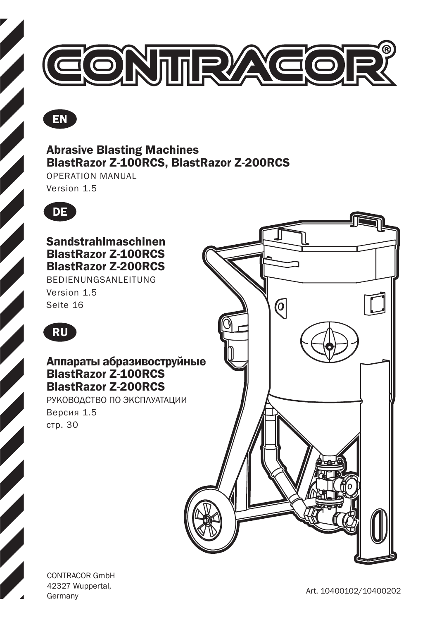



### Abrasive Blasting Machines BlastRazor Z-100RCS, BlastRazor Z-200RCS

OPERATION MANUAL

Version 1.5



Sandstrahlmaschinen BlastRazor Z-100RCS BlastRazor Z-200RCS

BEDIENUNGSANLEITUNG Version 1.5 Seite 16



### Аппараты абразивоструйные BlastRazor Z-100RCS BlastRazor Z-200RCS

РУКОВОДСТВО ПО ЭКСПЛУАТАЦИИ Версия 1.5 стр. 30



CONTRACOR GmbH 42327 Wuppertal,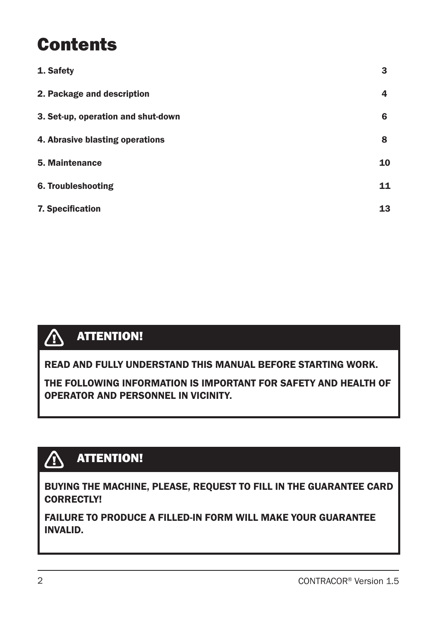# **Contents**

| 1. Safety                          | 3  |
|------------------------------------|----|
| 2. Package and description         | 4  |
| 3. Set-up, operation and shut-down | 6  |
| 4. Abrasive blasting operations    | 8  |
| 5. Maintenance                     | 10 |
| 6. Troubleshooting                 | 11 |
| 7. Specification                   | 13 |



READ AND FULLY UNDERSTAND THIS MANUAL BEFORE STARTING WORK.

THE FOLLOWING INFORMATION IS IMPORTANT FOR SAFETY AND HEALTH OF OPERATOR AND PERSONNEL IN VICINITY.

#### ATTENTION!  $\bigwedge$

BUYING THE MACHINE, PLEASE, REQUEST TO FILL IN THE GUARANTEE CARD CORRECTLY!

FAILURE TO PRODUCE A FILLED-IN FORM WILL MAKE YOUR GUARANTEE INVALID.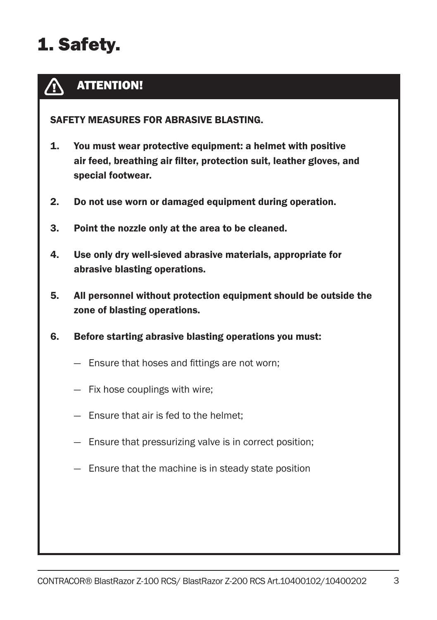# 1. Safety.

#### ATTENTION!  $\bigwedge$

SAFETY MEASURES FOR ABRASIVE BLASTING.

- 1. You must wear protective equipment: a helmet with positive air feed, breathing air filter, protection suit, leather gloves, and special footwear.
- 2. Do not use worn or damaged equipment during operation.
- 3. Point the nozzle only at the area to be cleaned.
- 4. Use only dry well-sieved abrasive materials, appropriate for abrasive blasting operations.
- 5. All personnel without protection equipment should be outside the zone of blasting operations.
- 6. Before starting abrasive blasting operations you must:
	- Ensure that hoses and fittings are not worn;
	- Fix hose couplings with wire;
	- Ensure that air is fed to the helmet;
	- Ensure that pressurizing valve is in correct position;
	- Ensure that the machine is in steady state position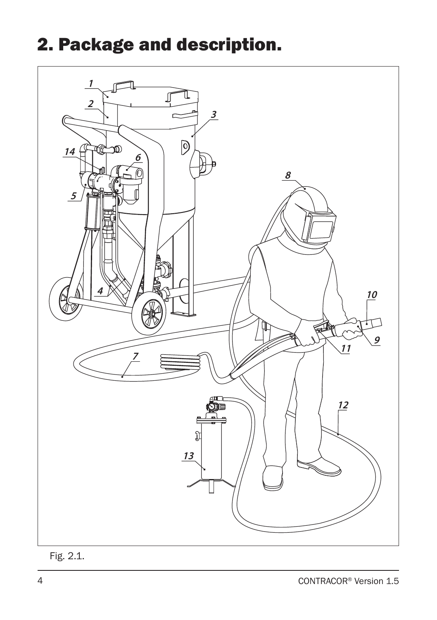# 2. Package and description.



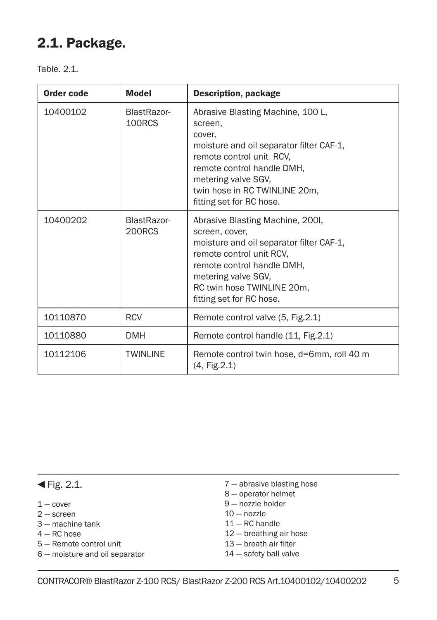## 2.1. Package.

Table 2.1

| Order code | <b>Model</b>          | <b>Description, package</b>                                                                                                                                                                                                                      |
|------------|-----------------------|--------------------------------------------------------------------------------------------------------------------------------------------------------------------------------------------------------------------------------------------------|
| 10400102   | BlastRazor-<br>100RCS | Abrasive Blasting Machine, 100 L,<br>screen,<br>cover,<br>moisture and oil separator filter CAF-1,<br>remote control unit RCV,<br>remote control handle DMH,<br>metering valve SGV,<br>twin hose in RC TWINLINE 20m,<br>fitting set for RC hose. |
| 10400202   | BlastRazor-<br>200RCS | Abrasive Blasting Machine, 2001,<br>screen, cover,<br>moisture and oil separator filter CAF-1,<br>remote control unit RCV.<br>remote control handle DMH.<br>metering valve SGV,<br>RC twin hose TWINLINE 20m,<br>fitting set for RC hose.        |
| 10110870   | <b>RCV</b>            | Remote control valve (5, Fig.2.1)                                                                                                                                                                                                                |
| 10110880   | <b>DMH</b>            | Remote control handle (11, Fig. 2.1)                                                                                                                                                                                                             |
| 10112106   | <b>TWINLINE</b>       | Remote control twin hose, d=6mm, roll 40 m<br>(4, Fig.2.1)                                                                                                                                                                                       |

### $\blacktriangleleft$  Fig. 2.1.

- $1 -$  cover
- 2 screen
- 3 machine tank
- $4 RC$  hose
- 5 Remote control unit
- 6 moisture and oil separator
- 7 abrasive blasting hose
- 8 operator helmet
- 9 nozzle holder
- $10 -$  nozzle
- 11 RC handle
- 12 breathing air hose
- 13 breath air filter
- 14 safety ball valve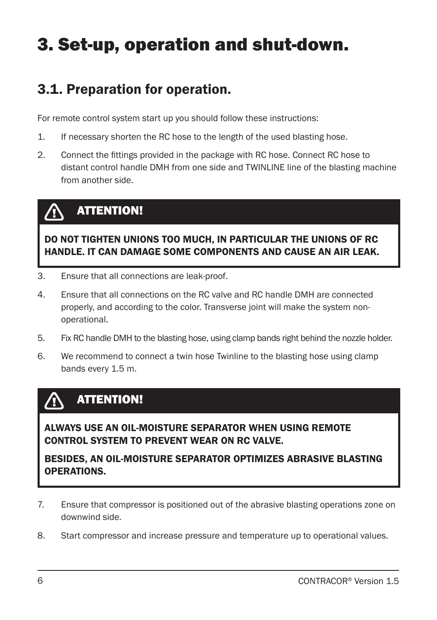# 3. Set-up, operation and shut-down.

## 3.1. Preparation for operation.

For remote control system start up you should follow these instructions:

- 1. If necessary shorten the RC hose to the length of the used blasting hose.
- 2. Connect the fittings provided in the package with RC hose. Connect RC hose to distant control handle DMH from one side and TWINLINE line of the blasting machine from another side.

#### ATTENTION!  $\sqrt{N}$

DO NOT TIGHTEN UNIONS TOO MUCH, IN PARTICULAR THE UNIONS OF RC HANDLE. IT CAN DAMAGE SOME COMPONENTS AND CAUSE AN AIR LEAK.

- 3. Ensure that all connections are leak-proof.
- 4. Ensure that all connections on the RC valve and RC handle DMH are connected properly, and according to the color. Transverse joint will make the system nonoperational.
- 5. Fix RC handle DMH to the blasting hose, using clamp bands right behind the nozzle holder.
- 6. We recommend to connect a twin hose Twinline to the blasting hose using clamp bands every 1.5 m.

#### ATTENTION! **/r**

ALWAYS USE AN OIL-MOISTURE SEPARATOR WHEN USING REMOTE CONTROL SYSTEM TO PREVENT WEAR ON RC VALVE.

BESIDES, AN OIL-MOISTURE SEPARATOR OPTIMIZES ABRASIVE BLASTING OPERATIONS.

- 7. Ensure that compressor is positioned out of the abrasive blasting operations zone on downwind side.
- 8. Start compressor and increase pressure and temperature up to operational values.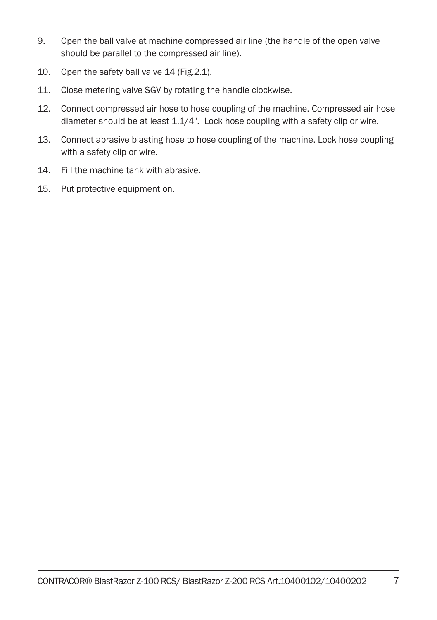- 9. Open the ball valve at machine compressed air line (the handle of the open valve should be parallel to the compressed air line).
- 10. Open the safety ball valve 14 (Fig.2.1).
- 11. Close metering valve SGV by rotating the handle clockwise.
- 12. Connect compressed air hose to hose coupling of the machine. Compressed air hose diameter should be at least 1.1/4". Lock hose coupling with a safety clip or wire.
- 13. Connect abrasive blasting hose to hose coupling of the machine. Lock hose coupling with a safety clip or wire.
- 14. Fill the machine tank with abrasive.
- 15. Put protective equipment on.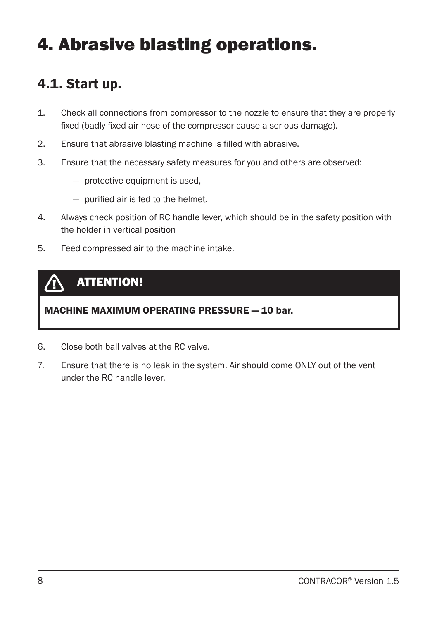# 4. Abrasive blasting operations.

### 4.1. Start up.

- 1. Check all connections from compressor to the nozzle to ensure that they are properly fixed (badly fixed air hose of the compressor cause a serious damage).
- 2. Ensure that abrasive blasting machine is filled with abrasive.
- 3. Ensure that the necessary safety measures for you and others are observed:
	- protective equipment is used,
	- purified air is fed to the helmet.
- 4. Always check position of RC handle lever, which should be in the safety position with the holder in vertical position
- 5. Feed compressed air to the machine intake.

### ATTENTION!

### MACHINE MAXIMUM OPERATING PRESSURE — 10 bar.

- 6. Close both ball valves at the RC valve.
- 7. Ensure that there is no leak in the system. Air should come ONLY out of the vent under the RC handle lever.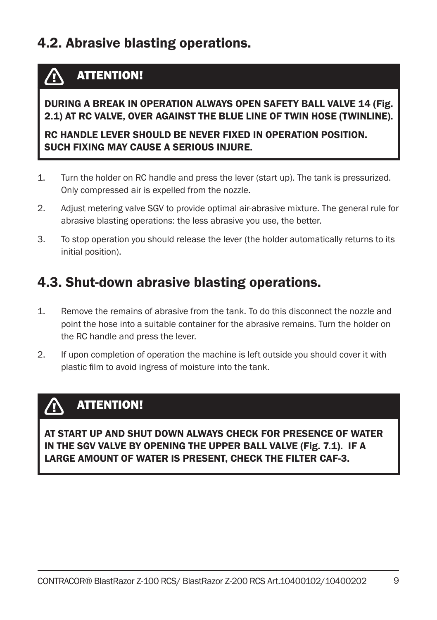## 4.2. Abrasive blasting operations.

#### ATTENTION!  $\bigwedge$

#### DURING A BREAK IN OPERATION ALWAYS OPEN SAFETY BALL VALVE 14 (Fig. 2.1) AT RC VALVE, OVER AGAINST THE BLUE LINE OF TWIN HOSE (TWINLINE).

### RC HANDLE LEVER SHOULD BE NEVER FIXED IN OPERATION POSITION. SUCH FIXING MAY CAUSE A SERIOUS INJURE.

- 1. Turn the holder on RC handle and press the lever (start up). The tank is pressurized. Only compressed air is expelled from the nozzle.
- 2. Adjust metering valve SGV to provide optimal air-abrasive mixture. The general rule for abrasive blasting operations: the less abrasive you use, the better.
- 3. To stop operation you should release the lever (the holder automatically returns to its initial position).

### 4.3. Shut-down abrasive blasting operations.

- 1. Remove the remains of abrasive from the tank. To do this disconnect the nozzle and point the hose into a suitable container for the abrasive remains. Turn the holder on the RC handle and press the lever.
- 2. If upon completion of operation the machine is left outside you should cover it with plastic film to avoid ingress of moisture into the tank.

#### ATTENTION!  $\sqrt{N}$

AT START UP AND SHUT DOWN ALWAYS CHECK FOR PRESENCE OF WATER IN THE SGV VALVE BY OPENING THE UPPER BALL VALVE (Fig. 7.1). IF A LARGE AMOUNT OF WATER IS PRESENT, CHECK THE FILTER CAF-3.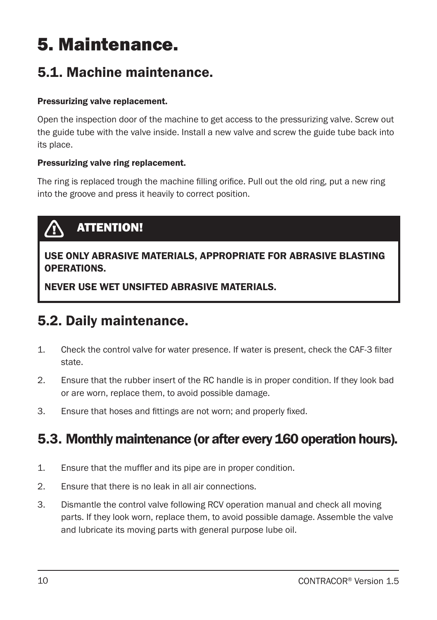# 5. Maintenance.

## 5.1. Machine maintenance.

#### Pressurizing valve replacement.

Open the inspection door of the machine to get access to the pressurizing valve. Screw out the guide tube with the valve inside. Install a new valve and screw the guide tube back into its place.

#### Pressurizing valve ring replacement.

The ring is replaced trough the machine filling orifice. Pull out the old ring, put a new ring into the groove and press it heavily to correct position.



USE ONLY ABRASIVE MATERIALS, APPROPRIATE FOR ABRASIVE BLASTING OPERATIONS.

NEVER USE WET UNSIFTED ABRASIVE MATERIALS.

## 5.2. Daily maintenance.

- 1. Check the control valve for water presence. If water is present, check the CAF-3 filter state.
- 2. Ensure that the rubber insert of the RC handle is in proper condition. If they look bad or are worn, replace them, to avoid possible damage.
- 3. Ensure that hoses and fittings are not worn; and properly fixed.

### 5.3. Monthly maintenance (or after every 160 operation hours).

- 1. Ensure that the muffler and its pipe are in proper condition.
- 2. Ensure that there is no leak in all air connections.
- 3. Dismantle the control valve following RCV operation manual and check all moving parts. If they look worn, replace them, to avoid possible damage. Assemble the valve and lubricate its moving parts with general purpose lube oil.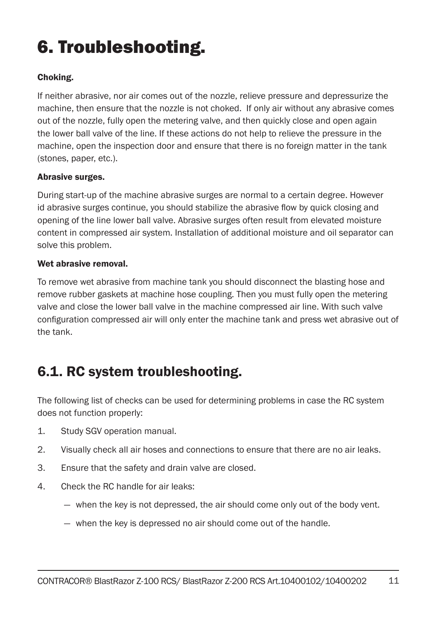# 6. Troubleshooting.

#### Choking.

If neither abrasive, nor air comes out of the nozzle, relieve pressure and depressurize the machine, then ensure that the nozzle is not choked. If only air without any abrasive comes out of the nozzle, fully open the metering valve, and then quickly close and open again the lower ball valve of the line. If these actions do not help to relieve the pressure in the machine, open the inspection door and ensure that there is no foreign matter in the tank (stones, paper, etc.).

#### Abrasive surges.

During start-up of the machine abrasive surges are normal to a certain degree. However id abrasive surges continue, you should stabilize the abrasive flow by quick closing and opening of the line lower ball valve. Abrasive surges often result from elevated moisture content in compressed air system. Installation of additional moisture and oil separator can solve this problem.

#### Wet abrasive removal

To remove wet abrasive from machine tank you should disconnect the blasting hose and remove rubber gaskets at machine hose coupling. Then you must fully open the metering valve and close the lower ball valve in the machine compressed air line. With such valve configuration compressed air will only enter the machine tank and press wet abrasive out of the tank.

## 6.1. RC system troubleshooting.

The following list of checks can be used for determining problems in case the RC system does not function properly:

- 1. Study SGV operation manual.
- 2. Visually check all air hoses and connections to ensure that there are no air leaks.
- 3. Ensure that the safety and drain valve are closed.
- 4. Check the RC handle for air leaks:
	- when the key is not depressed, the air should come only out of the body vent.
	- when the key is depressed no air should come out of the handle.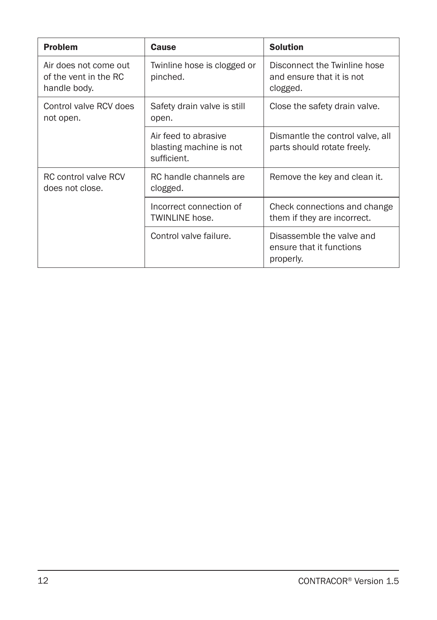| <b>Problem</b>                                                 | Cause                                                          | <b>Solution</b>                                                       |
|----------------------------------------------------------------|----------------------------------------------------------------|-----------------------------------------------------------------------|
| Air does not come out<br>of the vent in the RC<br>handle body. | Twinline hose is clogged or<br>pinched.                        | Disconnect the Twinline hose<br>and ensure that it is not<br>clogged. |
| Control valve RCV does<br>not open.                            | Safety drain valve is still<br>open.                           | Close the safety drain valve.                                         |
|                                                                | Air feed to abrasive<br>blasting machine is not<br>sufficient. | Dismantle the control valve, all<br>parts should rotate freely.       |
| RC control valve RCV<br>does not close.                        | RC handle channels are<br>clogged.                             | Remove the key and clean it.                                          |
|                                                                | Incorrect connection of<br>TWINLINE hose.                      | Check connections and change<br>them if they are incorrect.           |
|                                                                | Control valve failure.                                         | Disassemble the valve and<br>ensure that it functions<br>properly.    |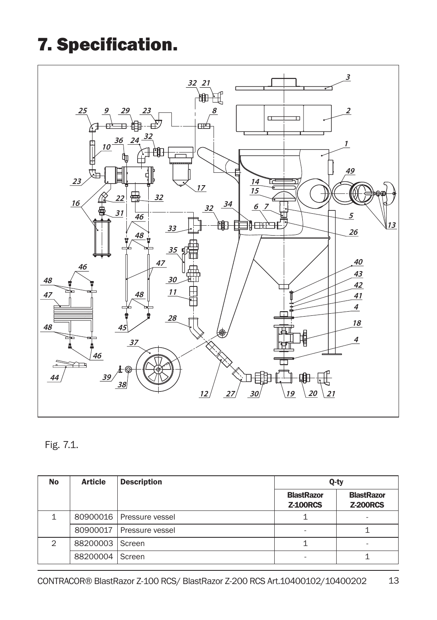# 7. Specification.



### Fig. 7.1.

| <b>No</b> | <b>Article</b> | <b>Description</b>         | Q-ty                                 |                                      |
|-----------|----------------|----------------------------|--------------------------------------|--------------------------------------|
|           |                |                            | <b>BlastRazor</b><br><b>Z-100RCS</b> | <b>BlastRazor</b><br><b>Z-200RCS</b> |
|           |                | 80900016   Pressure vessel |                                      |                                      |
|           | 80900017       | Pressure vessel            | ۰                                    |                                      |
| 2         | 88200003       | Screen                     |                                      | $\overline{\phantom{a}}$             |
|           | 88200004       | Screen                     |                                      |                                      |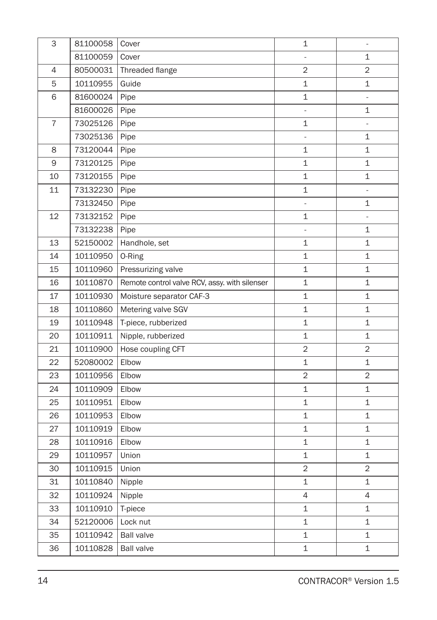| 3              | 81100058 | Cover                                         | $\mathbf{1}$   | ä,                  |
|----------------|----------|-----------------------------------------------|----------------|---------------------|
|                | 81100059 | Cover                                         |                | 1                   |
| $\overline{4}$ | 80500031 | Threaded flange                               | $\overline{2}$ | $\overline{2}$      |
| 5              | 10110955 | Guide                                         | 1              | 1                   |
| 6              | 81600024 | Pipe                                          | 1              | $\overline{a}$      |
|                | 81600026 | Pipe                                          | L,             | 1                   |
| $\overline{7}$ | 73025126 | Pipe                                          | 1              | $\bar{\phantom{a}}$ |
|                | 73025136 | Pipe                                          | $\blacksquare$ | 1                   |
| 8              | 73120044 | Pipe                                          | 1              | 1                   |
| 9              | 73120125 | Pipe                                          | 1              | 1                   |
| 10             | 73120155 | Pipe                                          | $\mathbf 1$    | 1                   |
| 11             | 73132230 | Pipe                                          | 1              | ä,                  |
|                | 73132450 | Pipe                                          | $\overline{a}$ | 1                   |
| 12             | 73132152 | Pipe                                          | 1              | $\overline{a}$      |
|                | 73132238 | Pipe                                          | $\overline{a}$ | 1                   |
| 13             | 52150002 | Handhole, set                                 | $\mathbf 1$    | 1                   |
| 14             | 10110950 | 0-Ring                                        | $\mathbf 1$    | 1                   |
| 15             | 10110960 | Pressurizing valve                            | 1              | 1                   |
| 16             | 10110870 | Remote control valve RCV, assy. with silenser | 1              | 1                   |
| 17             | 10110930 | Moisture separator CAF-3                      | 1              | 1                   |
| 18             | 10110860 | Metering valve SGV                            | 1              | 1                   |
| 19             | 10110948 | T-piece, rubberized                           | $\mathbf 1$    | 1                   |
| 20             | 10110911 | Nipple, rubberized                            | $\mathbf 1$    | 1                   |
| 21             | 10110900 | Hose coupling CFT                             | $\overline{2}$ | $\overline{2}$      |
| 22             | 52080002 | Elbow                                         | $\mathbf 1$    | $\mathbf 1$         |
| 23             | 10110956 | Elbow                                         | $\overline{2}$ | $\overline{2}$      |
| 24             | 10110909 | Elbow                                         | $\mathbf 1$    | $\mathbf 1$         |
| 25             | 10110951 | Elbow                                         | $\mathbf{1}$   | 1                   |
| 26             | 10110953 | Elbow                                         | 1              | 1                   |
| 27             | 10110919 | Elbow                                         | 1              | $\mathbf 1$         |
| 28             | 10110916 | Elbow                                         | $\mathbf 1$    | 1                   |
| 29             | 10110957 | Union                                         | $\mathbf 1$    | 1                   |
| 30             | 10110915 | Union                                         | $\overline{2}$ | $\overline{2}$      |
| 31             | 10110840 | Nipple                                        | 1              | $\mathbf 1$         |
| 32             | 10110924 | Nipple                                        | 4              | 4                   |
| 33             | 10110910 | T-piece                                       | $\mathbf 1$    | $\mathbf 1$         |
| 34             | 52120006 | Lock nut                                      | 1              | 1                   |
| 35             | 10110942 | <b>Ball valve</b>                             | 1              | 1                   |
| 36             | 10110828 | <b>Ball valve</b>                             | $\mathbf 1$    | 1                   |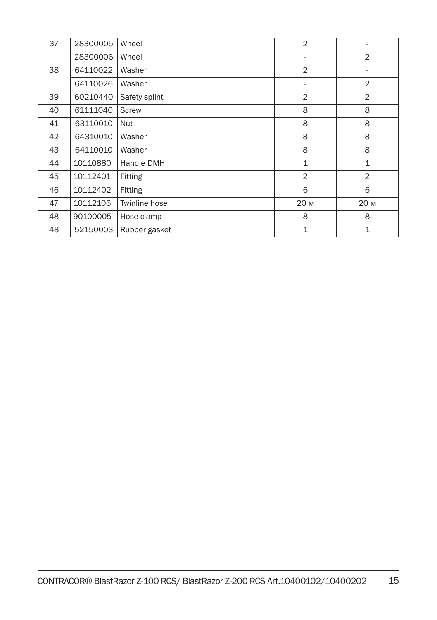| 37 | 28300005 | Wheel         | $\overline{2}$           |                |
|----|----------|---------------|--------------------------|----------------|
|    | 28300006 | Wheel         | ٠                        | $\overline{2}$ |
| 38 | 64110022 | Washer        | $\overline{2}$           | -              |
|    | 64110026 | Washer        | $\overline{\phantom{a}}$ | $\overline{2}$ |
| 39 | 60210440 | Safety splint | $\overline{2}$           | $\overline{2}$ |
| 40 | 61111040 | Screw         | 8                        | 8              |
| 41 | 63110010 | Nut           | 8                        | 8              |
| 42 | 64310010 | Washer        | 8                        | 8              |
| 43 | 64110010 | Washer        | 8                        | 8              |
| 44 | 10110880 | Handle DMH    | $\mathbf{1}$             | 1              |
| 45 | 10112401 | Fitting       | $\overline{2}$           | 2              |
| 46 | 10112402 | Fitting       | 6                        | 6              |
| 47 | 10112106 | Twinline hose | 20 M                     | 20 M           |
| 48 | 90100005 | Hose clamp    | 8                        | 8              |
| 48 | 52150003 | Rubber gasket | 1                        | 1              |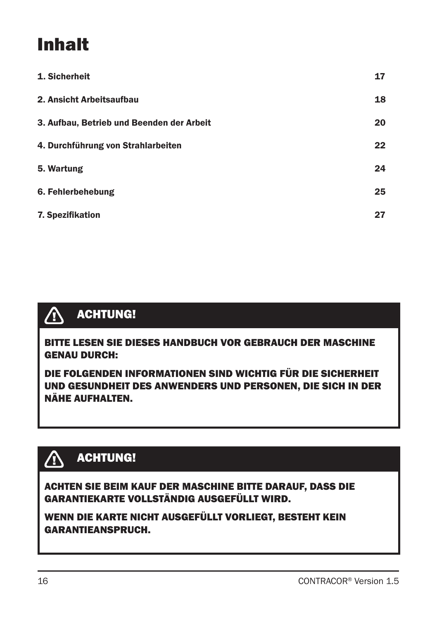# Inhalt

| 1. Sicherheit                             | 17 |
|-------------------------------------------|----|
| 2. Ansicht Arbeitsaufbau                  | 18 |
| 3. Aufbau, Betrieb und Beenden der Arbeit | 20 |
| 4. Durchführung von Strahlarbeiten        | 22 |
| 5. Wartung                                | 24 |
| 6. Fehlerbehebung                         | 25 |
| <b>7. Spezifikation</b>                   | 27 |

#### $\Delta$ ACHTUNG!

BITTE LESEN SIE DIESES HANDBUCH VOR GEBRAUCH DER MASCHINE GENAU DURCH:

DIE FOLGENDEN INFORMATIONEN SIND WICHTIG FÜR DIE SICHERHEIT UND GESUNDHEIT DES ANWENDERS UND PERSONEN, DIE SICH IN DER NÄHE AUFHALTEN.

## ACHTUNG!

ACHTEN SIE BEIM KAUF DER MASCHINE BITTE DARAUF, DASS DIE GARANTIEKARTE VOLLSTÄNDIG AUSGEFÜLLT WIRD.

WENN DIE KARTE NICHT AUSGEFÜLLT VORLIEGT, BESTEHT KEIN GARANTIEANSPRUCH.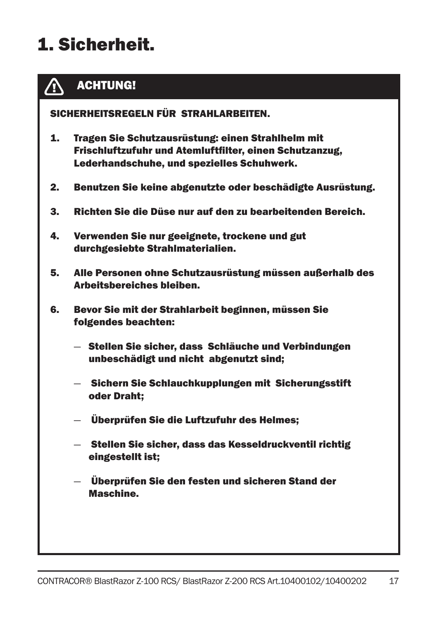# 1. Sicherheit.



### ACHTUNG!

SICHERHEITSREGELN FÜR STRAHLARBEITEN.

- 1. Tragen Sie Schutzausrüstung: einen Strahlhelm mit Frischluftzufuhr und Atemluftfilter, einen Schutzanzug, Lederhandschuhe, und spezielles Schuhwerk.
- 2. Benutzen Sie keine abgenutzte oder beschädigte Ausrüstung.
- 3. Richten Sie die Düse nur auf den zu bearbeitenden Bereich.
- 4. Verwenden Sie nur geeignete, trockene und gut durchgesiebte Strahlmaterialien.
- 5. Alle Personen ohne Schutzausrüstung müssen außerhalb des Arbeitsbereiches bleiben.
- 6. Bevor Sie mit der Strahlarbeit beginnen, müssen Sie folgendes beachten:
	- Stellen Sie sicher, dass Schläuche und Verbindungen unbeschädigt und nicht abgenutzt sind;
	- Sichern Sie Schlauchkupplungen mit Sicherungsstift oder Draht;
	- Überprüfen Sie die Luftzufuhr des Helmes;
	- Stellen Sie sicher, dass das Kesseldruckventil richtig eingestellt ist;
	- Überprüfen Sie den festen und sicheren Stand der Maschine.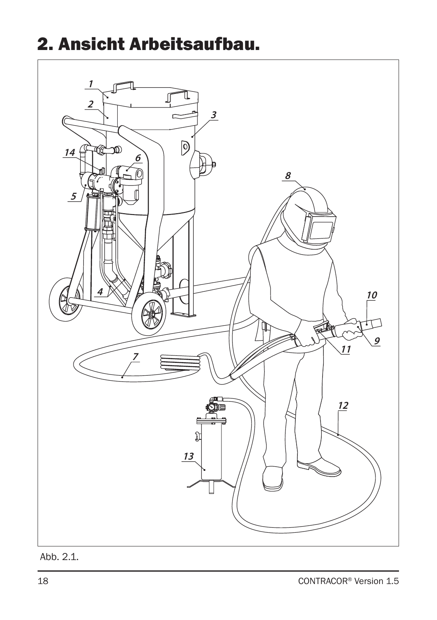# 2. Ansicht Arbeitsaufbau.



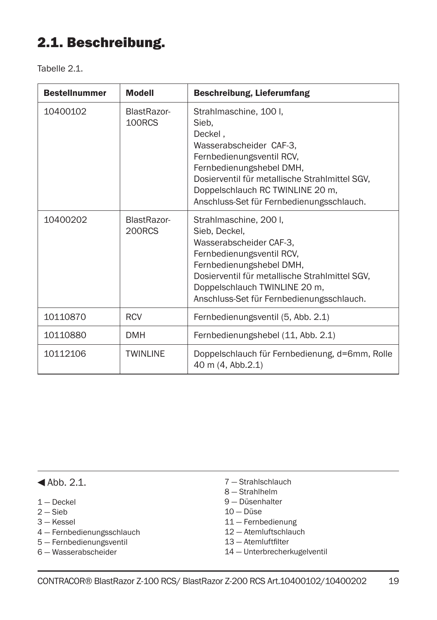## 2.1. Beschreibung.

Tabelle 2.1

| <b>Bestellnummer</b> | <b>Modell</b>         | <b>Beschreibung, Lieferumfang</b>                                                                                                                                                                                                                                 |
|----------------------|-----------------------|-------------------------------------------------------------------------------------------------------------------------------------------------------------------------------------------------------------------------------------------------------------------|
| 10400102             | BlastRazor-<br>100RCS | Strahlmaschine, 100 I,<br>Sieb.<br>Deckel.<br>Wasserabscheider CAF-3,<br>Fernbedienungsventil RCV,<br>Fernbedienungshebel DMH,<br>Dosierventil für metallische Strahlmittel SGV,<br>Doppelschlauch RC TWINLINE 20 m,<br>Anschluss-Set für Fernbedienungsschlauch. |
| 10400202             | BlastRazor-<br>200RCS | Strahlmaschine, 200 I,<br>Sieb, Deckel,<br>Wasserabscheider CAF-3.<br>Fernbedienungsventil RCV,<br>Fernbedienungshebel DMH,<br>Dosierventil für metallische Strahlmittel SGV,<br>Doppelschlauch TWINLINE 20 m,<br>Anschluss-Set für Fernbedienungsschlauch.       |
| 10110870             | <b>RCV</b>            | Fernbedienungsventil (5, Abb. 2.1)                                                                                                                                                                                                                                |
| 10110880             | <b>DMH</b>            | Fernbedienungshebel (11, Abb. 2.1)                                                                                                                                                                                                                                |
| 10112106             | <b>TWINLINE</b>       | Doppelschlauch für Fernbedienung, d=6mm, Rolle<br>40 m (4, Abb.2.1)                                                                                                                                                                                               |

 $4$ Abb. 2.1.

- 1 Deckel
- 2 Sieb
- 3 Kessel
- 4 Fernbedienungsschlauch
- 5 Fernbedienungsventil
- 6 Wasserabscheider
- 7 Strahlschlauch
- 8 Strahlhelm
- 9 Düsenhalter
- 10 Düse
- 11 Fernbedienung
- 12 Atemluftschlauch
- 13 Atemluftfilter
- 14 Unterbrecherkugelventil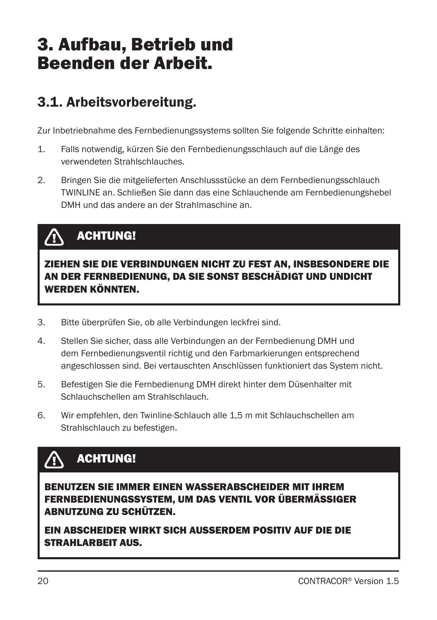## 3. Aufbau, Betrieb und Beenden der Arbeit.

## 3.1. Arbeitsvorbereitung.

Zur Inbetriebnahme des Fernbedienungssystems sollten Sie folgende Schritte einhalten:

- 1. Falls notwendig, kürzen Sie den Fernbedienungsschlauch auf die Länge des verwendeten Strahlschlauches.
- 2. Bringen Sie die mitgelieferten Anschlussstücke an dem Fernbedienungsschlauch TWINLINE an. Schließen Sie dann das eine Schlauchende am Fernbedienungshebel DMH und das andere an der Strahlmaschine an.

#### ACHTUNG!  $\bigwedge$

ZIEHEN SIE DIE VERBINDUNGEN NICHT ZU FEST AN, INSBESONDERE DIE AN DER FERNBEDIENUNG, DA SIE SONST BESCHÄDIGT UND UNDICHT WERDEN KÖNNTEN.

- 3. Bitte überprüfen Sie, ob alle Verbindungen leckfrei sind.
- 4. Stellen Sie sicher, dass alle Verbindungen an der Fernbedienung DMH und dem Fernbedienungsventil richtig und den Farbmarkierungen entsprechend angeschlossen sind. Bei vertauschten Anschlüssen funktioniert das System nicht.
- 5. Befestigen Sie die Fernbedienung DMH direkt hinter dem Düsenhalter mit Schlauchschellen am Strahlschlauch.
- 6. Wir empfehlen, den Twinline-Schlauch alle 1,5 m mit Schlauchschellen am Strahlschlauch zu befestigen.

#### ACHTUNG!  $\sqrt{N}$

BENUTZEN SIE IMMER EINEN WASSERABSCHEIDER MIT IHREM FERNBEDIENUNGSSYSTEM, UM DAS VENTIL VOR ÜBERMÄSSIGER ABNUTZUNG ZU SCHÜTZEN.

EIN ABSCHEIDER WIRKT SICH AUSSERDEM POSITIV AUF DIE DIE STRAHLARBEIT AUS.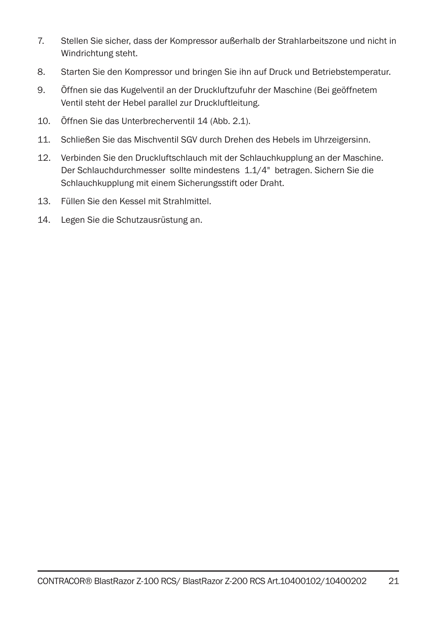- 7. Stellen Sie sicher, dass der Kompressor außerhalb der Strahlarbeitszone und nicht in Windrichtung steht.
- 8. Starten Sie den Kompressor und bringen Sie ihn auf Druck und Betriebstemperatur.
- 9. Öffnen sie das Kugelventil an der Druckluftzufuhr der Maschine (Bei geöffnetem Ventil steht der Hebel parallel zur Druckluftleitung.
- 10. Öffnen Sie das Unterbrecherventil 14 (Abb. 2.1).
- 11. Schließen Sie das Mischventil SGV durch Drehen des Hebels im Uhrzeigersinn.
- 12. Verbinden Sie den Druckluftschlauch mit der Schlauchkupplung an der Maschine. Der Schlauchdurchmesser sollte mindestens 1.1/4" betragen. Sichern Sie die Schlauchkupplung mit einem Sicherungsstift oder Draht.
- 13. Füllen Sie den Kessel mit Strahlmittel.
- 14. Legen Sie die Schutzausrüstung an.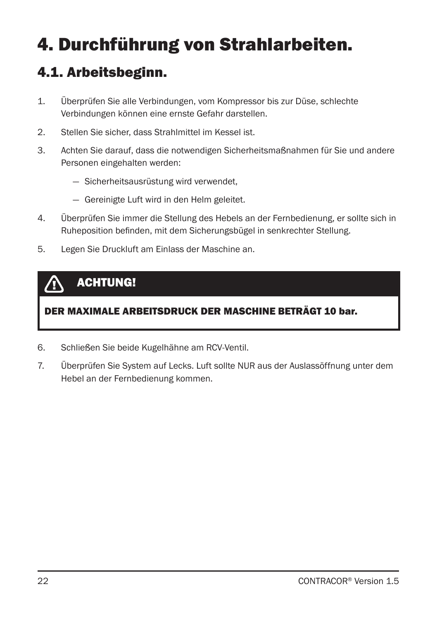# 4. Durchführung von Strahlarbeiten.

## 4.1. Arbeitsbeginn.

- 1. Überprüfen Sie alle Verbindungen, vom Kompressor bis zur Düse, schlechte Verbindungen können eine ernste Gefahr darstellen.
- 2. Stellen Sie sicher, dass Strahlmittel im Kessel ist.
- 3. Achten Sie darauf, dass die notwendigen Sicherheitsmaßnahmen für Sie und andere Personen eingehalten werden:
	- Sicherheitsausrüstung wird verwendet,
	- Gereinigte Luft wird in den Helm geleitet.
- 4. Überprüfen Sie immer die Stellung des Hebels an der Fernbedienung, er sollte sich in Ruheposition befinden, mit dem Sicherungsbügel in senkrechter Stellung.
- 5. Legen Sie Druckluft am Einlass der Maschine an.

### ACHTUNG!

### DER MAXIMALE ARBEITSDRUCK DER MASCHINE BETRÄGT 10 bar.

- 6. Schließen Sie beide Kugelhähne am RCV-Ventil.
- 7. Überprüfen Sie System auf Lecks. Luft sollte NUR aus der Auslassöffnung unter dem Hebel an der Fernbedienung kommen.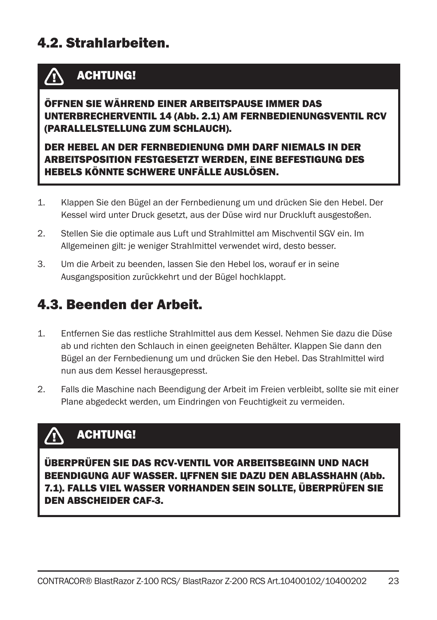### 4.2. Strahlarbeiten.

#### ACHTUNG! **/T**

ÖFFNEN SIE WÄHREND EINER ARBEITSPAUSE IMMER DAS UNTERBRECHERVENTIL 14 (Abb. 2.1) AM FERNBEDIENUNGSVENTIL RCV (PARALLELSTELLUNG ZUM SCHLAUCH).

DER HEBEL AN DER FERNBEDIENUNG DMH DARF NIEMALS IN DER ARBEITSPOSITION FESTGESETZT WERDEN, EINE BEFESTIGUNG DES HEBELS KÖNNTE SCHWERE UNFÄLLE AUSLÖSEN.

- 1. Klappen Sie den Bügel an der Fernbedienung um und drücken Sie den Hebel. Der Kessel wird unter Druck gesetzt, aus der Düse wird nur Druckluft ausgestoßen.
- 2. Stellen Sie die optimale aus Luft und Strahlmittel am Mischventil SGV ein. Im Allgemeinen gilt: je weniger Strahlmittel verwendet wird, desto besser.
- 3. Um die Arbeit zu beenden, lassen Sie den Hebel los, worauf er in seine Ausgangsposition zurückkehrt und der Bügel hochklappt.

### 4.3. Beenden der Arbeit.

- 1. Entfernen Sie das restliche Strahlmittel aus dem Kessel. Nehmen Sie dazu die Düse ab und richten den Schlauch in einen geeigneten Behälter. Klappen Sie dann den Bügel an der Fernbedienung um und drücken Sie den Hebel. Das Strahlmittel wird nun aus dem Kessel herausgepresst.
- 2. Falls die Maschine nach Beendigung der Arbeit im Freien verbleibt, sollte sie mit einer Plane abgedeckt werden, um Eindringen von Feuchtigkeit zu vermeiden.

#### ACHTUNG! /T

ÜBERPRÜFEN SIE DAS RCV-VENTIL VOR ARBEITSBEGINN UND NACH BEENDIGUNG AUF WASSER. ЦFFNEN SIE DAZU DEN ABLASSHAHN (Abb. 7.1). FALLS VIEL WASSER VORHANDEN SEIN SOLLTE, ÜBERPRÜFEN SIE DEN ABSCHEIDER CAF-3.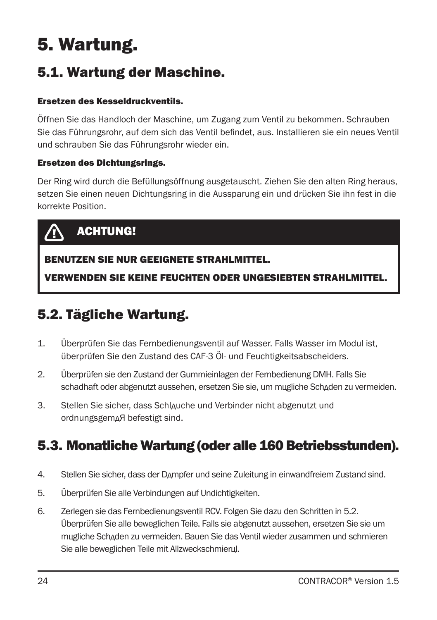# 5. Wartung.

## 5.1. Wartung der Maschine.

#### Ersetzen des Kesseldruckventils.

Öffnen Sie das Handloch der Maschine, um Zugang zum Ventil zu bekommen. Schrauben Sie das Führungsrohr, auf dem sich das Ventil befindet, aus. Installieren sie ein neues Ventil und schrauben Sie das Führungsrohr wieder ein.

#### Ersetzen des Dichtungsrings.

Der Ring wird durch die Befüllungsöffnung ausgetauscht. Ziehen Sie den alten Ring heraus, setzen Sie einen neuen Dichtungsring in die Aussparung ein und drücken Sie ihn fest in die korrekte Position.



### ACHTUNG!

### BENUTZEN SIE NUR GEEIGNETE STRAHLMITTEL.

VERWENDEN SIE KEINE FEUCHTEN ODER UNGESIEBTEN STRAHLMITTEL.

## 5.2. Tägliche Wartung.

- 1. Überprüfen Sie das Fernbedienungsventil auf Wasser. Falls Wasser im Modul ist, überprüfen Sie den Zustand des CAF-3 Öl- und Feuchtigkeitsabscheiders.
- 2. Überprüfen sie den Zustand der Gummieinlagen der Fernbedienung DMH. Falls Sie schadhaft oder abgenutzt aussehen, ersetzen Sie sie, um mцgliche Schдden zu vermeiden.
- 3. Stellen Sie sicher, dass Schlдuche und Verbinder nicht abgenutzt und ordnungsgemдЯ befestigt sind.

## 5.3. Monatliche Wartung (oder alle 160 Betriebsstunden).

- 4. Stellen Sie sicher, dass der Dдmpfer und seine Zuleitung in einwandfreiem Zustand sind.
- 5. Überprüfen Sie alle Verbindungen auf Undichtigkeiten.
- 6. Zerlegen sie das Fernbedienungsventil RCV. Folgen Sie dazu den Schritten in 5.2. Überprüfen Sie alle beweglichen Teile. Falls sie abgenutzt aussehen, ersetzen Sie sie um mцgliche Schдden zu vermeiden. Bauen Sie das Ventil wieder zusammen und schmieren Sie alle beweglichen Teile mit Allzweckschmierцl.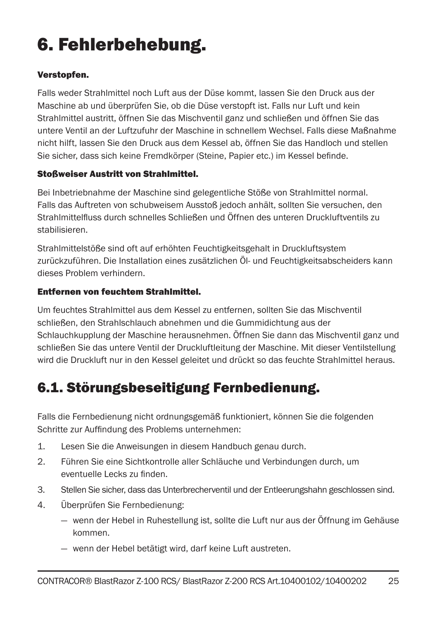# 6. Fehlerbehebung.

#### Verstopfen.

Falls weder Strahlmittel noch Luft aus der Düse kommt, lassen Sie den Druck aus der Maschine ab und überprüfen Sie, ob die Düse verstopft ist. Falls nur Luft und kein Strahlmittel austritt, öffnen Sie das Mischventil ganz und schließen und öffnen Sie das untere Ventil an der Luftzufuhr der Maschine in schnellem Wechsel. Falls diese Maßnahme nicht hilft, lassen Sie den Druck aus dem Kessel ab, öffnen Sie das Handloch und stellen Sie sicher, dass sich keine Fremdkörper (Steine, Papier etc.) im Kessel befinde.

#### Stoßweiser Austritt von Strahlmittel.

Bei Inbetriebnahme der Maschine sind gelegentliche Stöße von Strahlmittel normal. Falls das Auftreten von schubweisem Ausstoß jedoch anhält, sollten Sie versuchen, den Strahlmittelfluss durch schnelles Schließen und Öffnen des unteren Druckluftventils zu stabilisieren.

Strahlmittelstöße sind oft auf erhöhten Feuchtigkeitsgehalt in Druckluftsystem zurückzuführen. Die Installation eines zusätzlichen Öl- und Feuchtigkeitsabscheiders kann dieses Problem verhindern.

#### Entfernen von feuchtem Strahlmittel.

Um feuchtes Strahlmittel aus dem Kessel zu entfernen, sollten Sie das Mischventil schließen, den Strahlschlauch abnehmen und die Gummidichtung aus der Schlauchkupplung der Maschine herausnehmen. Öffnen Sie dann das Mischventil ganz und schließen Sie das untere Ventil der Druckluftleitung der Maschine. Mit dieser Ventilstellung wird die Druckluft nur in den Kessel geleitet und drückt so das feuchte Strahlmittel heraus.

## 6.1. Störungsbeseitigung Fernbedienung.

Falls die Fernbedienung nicht ordnungsgemäß funktioniert, können Sie die folgenden Schritte zur Auffindung des Problems unternehmen:

- 1. Lesen Sie die Anweisungen in diesem Handbuch genau durch.
- 2. Führen Sie eine Sichtkontrolle aller Schläuche und Verbindungen durch, um eventuelle Lecks zu finden.
- 3. Stellen Sie sicher, dass das Unterbrecherventil und der Entleerungshahn geschlossen sind.
- 4. Überprüfen Sie Fernbedienung:
	- wenn der Hebel in Ruhestellung ist, sollte die Luft nur aus der Öffnung im Gehäuse kommen.
	- wenn der Hebel betätigt wird, darf keine Luft austreten.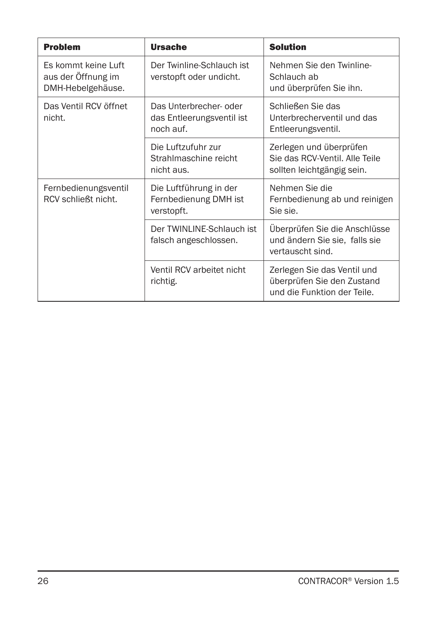| <b>Problem</b>                                                 | <b>Ursache</b>                                                   | <b>Solution</b>                                                                          |
|----------------------------------------------------------------|------------------------------------------------------------------|------------------------------------------------------------------------------------------|
| Es kommt keine Luft<br>aus der Offnung im<br>DMH-Hebelgehäuse. | Der Twinline-Schlauch ist<br>verstopft oder undicht.             | Nehmen Sie den Twinline-<br>Schlauch ab<br>und überprüfen Sie ihn.                       |
| Das Ventil RCV öffnet<br>nicht.                                | Das Unterbrecher- oder<br>das Entleerungsventil ist<br>noch auf. | Schließen Sie das<br>Unterbrecherventil und das<br>Entleerungsventil.                    |
|                                                                | Die Luftzufuhr zur<br>Strahlmaschine reicht<br>nicht aus.        | Zerlegen und überprüfen<br>Sie das RCV-Ventil, Alle Teile<br>sollten leichtgängig sein.  |
| Fernbedienungsventil<br>RCV schließt nicht.                    | Die Luftführung in der<br>Fernbedienung DMH ist<br>verstopft.    | Nehmen Sie die<br>Fernbedienung ab und reinigen<br>Sie sie.                              |
|                                                                | Der TWINLINE-Schlauch ist<br>falsch angeschlossen.               | Überprüfen Sie die Anschlüsse<br>und ändern Sie sie, falls sie<br>vertauscht sind.       |
|                                                                | Ventil RCV arbeitet nicht<br>richtig.                            | Zerlegen Sie das Ventil und<br>überprüfen Sie den Zustand<br>und die Funktion der Teile. |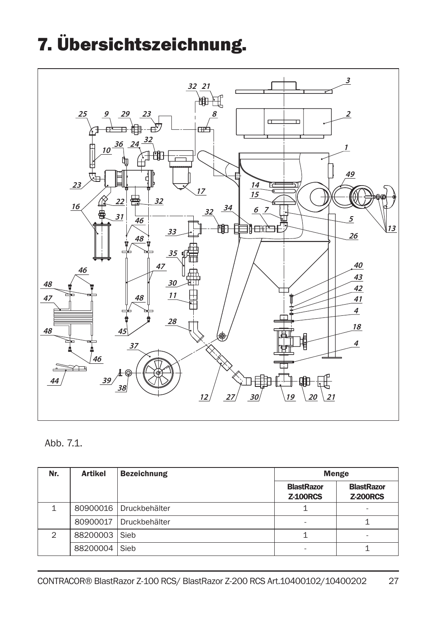# 7. Übersichtszeichnung.



### Abb. 7.1.

| Nr.           | <b>Artikel</b> | <b>Bezeichnung</b>       | <b>Menge</b>                         |                                      |
|---------------|----------------|--------------------------|--------------------------------------|--------------------------------------|
|               |                |                          | <b>BlastRazor</b><br><b>Z-100RCS</b> | <b>BlastRazor</b><br><b>Z-200RCS</b> |
|               |                | 80900016   Druckbehälter |                                      | -                                    |
|               | 80900017       | Druckbehälter            | -                                    |                                      |
| $\mathcal{P}$ | 88200003 Sieb  |                          |                                      | -                                    |
|               | 88200004       | Sieb                     | -                                    |                                      |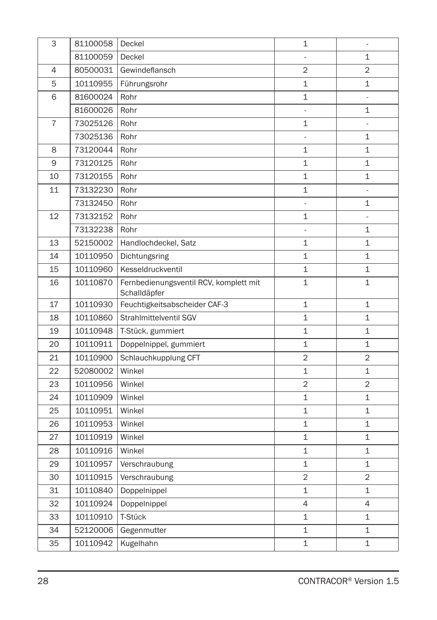| 3              | 81100058 | Deckel                                                 | 1                        | $\blacksquare$ |
|----------------|----------|--------------------------------------------------------|--------------------------|----------------|
|                | 81100059 | Deckel                                                 |                          | $\overline{1}$ |
| $\overline{4}$ | 80500031 | Gewindeflansch                                         | $\overline{2}$           | $\overline{2}$ |
| 5              | 10110955 | Führungsrohr                                           | 1                        | 1              |
| 6              | 81600024 | Rohr                                                   | $\mathbf{1}$             | $\overline{a}$ |
|                | 81600026 | Rohr                                                   | $\overline{\phantom{a}}$ | 1              |
| $\overline{7}$ | 73025126 | Rohr                                                   | $\mathbf{1}$             | $\blacksquare$ |
|                | 73025136 | Rohr                                                   | Ξ                        | $\mathbf 1$    |
| 8              | 73120044 | Rohr                                                   | 1                        | 1              |
| 9              | 73120125 | Rohr                                                   | $\mathbf{1}$             | $\mathbf 1$    |
| 10             | 73120155 | Rohr                                                   | 1                        | 1              |
| 11             | 73132230 | Rohr                                                   | $\mathbf{1}$             |                |
|                | 73132450 | Rohr                                                   | ä,                       | 1              |
| 12             | 73132152 | Rohr                                                   | 1                        |                |
|                | 73132238 | Rohr                                                   | $\overline{\phantom{a}}$ | 1              |
| 13             | 52150002 | Handlochdeckel, Satz                                   | 1                        | 1              |
| 14             | 10110950 | Dichtungsring                                          | $\mathbf{1}$             | $\mathbf{1}$   |
| 15             | 10110960 | Kesseldruckventil                                      | 1                        | 1              |
| 16             | 10110870 | Fernbedienungsventil RCV, komplett mit<br>Schalldäpfer | $\mathbf{1}$             | $\mathbf 1$    |
| 17             | 10110930 | Feuchtigkeitsabscheider CAF-3                          | 1                        | 1              |
| 18             | 10110860 | Strahlmittelventil SGV                                 | $\mathbf{1}$             | 1              |
| 19             | 10110948 | T-Stück, gummiert                                      | $\mathbf{1}$             | $\mathbf{1}$   |
| 20             | 10110911 | Doppelnippel, gummiert                                 | 1                        | $\mathbf 1$    |
| 21             | 10110900 | Schlauchkupplung CFT                                   | $\overline{2}$           | $\overline{2}$ |
| 22             | 52080002 | Winkel                                                 | $\mathbf 1$              | $\mathbf 1$    |
| 23             | 10110956 | Winkel                                                 | $\overline{2}$           | $\overline{2}$ |
| 24             | 10110909 | Winkel                                                 | 1                        | $\mathbf 1$    |
| 25             | 10110951 | Winkel                                                 | 1                        | 1              |
| 26             | 10110953 | Winkel                                                 | 1                        | 1              |
| 27             | 10110919 | Winkel                                                 | $\mathbf{1}$             | 1              |
| 28             | 10110916 | Winkel                                                 | $\mathbf 1$              | $\mathbf 1$    |
| 29             | 10110957 | Verschraubung                                          | 1                        | 1              |
| 30             | 10110915 | Verschraubung                                          | 2                        | $\overline{2}$ |
| 31             | 10110840 | Doppelnippel                                           | $\mathbf{1}$             | 1              |
| 32             | 10110924 | Doppelnippel                                           | $\overline{4}$           | 4              |
| 33             | 10110910 | T-Stück                                                | 1                        | 1              |
| 34             | 52120006 | Gegenmutter                                            | $\mathbf 1$              | 1              |
| 35             | 10110942 | Kugelhahn                                              | 1                        | 1              |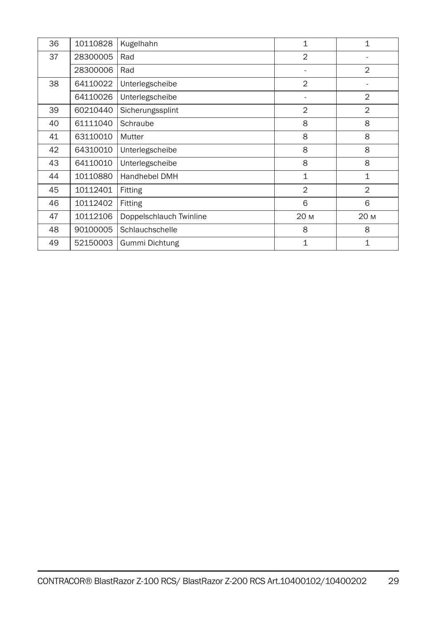| 36 | 10110828 | Kugelhahn               | $\mathbf{1}$   | 1              |
|----|----------|-------------------------|----------------|----------------|
| 37 | 28300005 | Rad                     | $\overline{2}$ |                |
|    | 28300006 | Rad                     |                | $\overline{2}$ |
| 38 | 64110022 | Unterlegscheibe         | $\overline{2}$ |                |
|    | 64110026 | Unterlegscheibe         | ä,             | $\overline{2}$ |
| 39 | 60210440 | Sicherungssplint        | $\overline{2}$ | $\overline{2}$ |
| 40 | 61111040 | Schraube                | 8              | 8              |
| 41 | 63110010 | Mutter                  | 8              | 8              |
| 42 | 64310010 | Unterlegscheibe         | 8              | 8              |
| 43 | 64110010 | Unterlegscheibe         | 8              | 8              |
| 44 | 10110880 | Handhebel DMH           | $\mathbf{1}$   | $\mathbf{1}$   |
| 45 | 10112401 | Fitting                 | $\overline{2}$ | $\overline{2}$ |
| 46 | 10112402 | Fitting                 | 6              | 6              |
| 47 | 10112106 | Doppelschlauch Twinline | 20 M           | 20 M           |
| 48 | 90100005 | Schlauchschelle         | 8              | 8              |
| 49 | 52150003 | Gummi Dichtung          | 1              | 1              |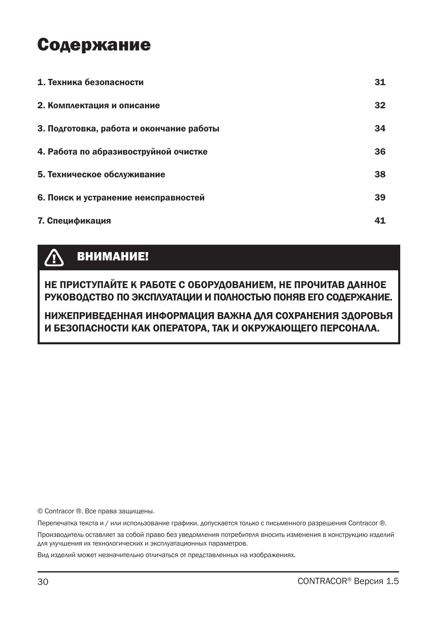## Содержание

| 1. Техника безопасности                  | 31 |
|------------------------------------------|----|
| 2. Комплектация и описание               | 32 |
| 3. Подготовка, работа и окончание работы | 34 |
| 4. Работа по абразивоструйной очистке    | 36 |
| 5. Техническое обслуживание              | 38 |
| 6. Поиск и устранение неисправностей     | 39 |
| 7. Спецификация                          | 41 |

#### ВНИМАНИЕ!  $\bigwedge$

НЕ ПРИСТУПАЙТЕ К РАБОТЕ С ОБОРУДОВАНИЕМ, НЕ ПРОЧИТАВ ДАННОЕ РУКОВОДСТВО ПО ЭКСПЛУАТАЦИИ И ПОЛНОСТЬЮ ПОНЯВ ЕГО СОДЕРЖАНИЕ.

### НИЖЕПРИВЕДЕННАЯ ИНФОРМАЦИЯ ВАЖНА ДЛЯ СОХРАНЕНИЯ ЗДОРОВЬЯ И БЕЗОПАСНОСТИ КАК ОПЕРАТОРА, ТАК И ОКРУЖАЮЩЕГО ПЕРСОНАЛА.

© Contracor ®. Все права защищены.

Перепечатка текста и / или использование графики. допускается только с письменного разрешения Contracor ®.

Производитель оставляет за собой право без уведомления потребителя вносить изменения в конструкцию изделий для улучшения их технологических и эксплуатационных параметров.

Вид изделий может незначительно отличаться от представленных на изображениях.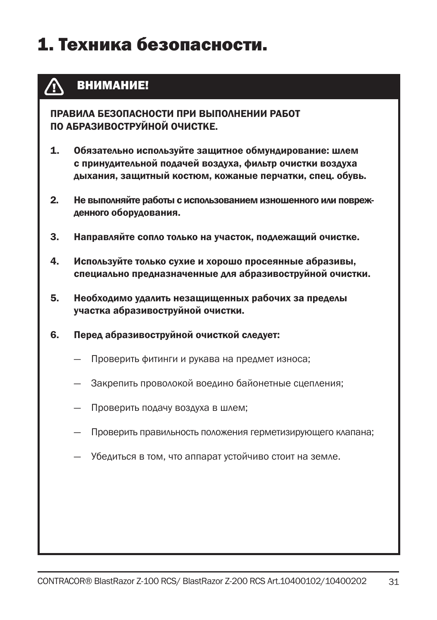# 1. Техника безопасности.

#### ВНИМАНИЕ! Æ

ПРАВИЛА БЕЗОПАСНОСТИ ПРИ ВЫПОЛНЕНИИ РАБОТ ПО АБРАЗИВОСТРУЙНОЙ ОЧИСТКЕ.

- 1. Обязательно используйте защитное обмундирование: шлем с принудительной подачей воздуха, фильтр очистки воздуха дыхания, защитный костюм, кожаные перчатки, спец. обувь.
- 2. Не выполняйте работы с использованием изношенного или поврежденного оборудования.
- 3. Направляйте сопло только на участок, подлежащий очистке.
- 4. Используйте только сухие и хорошо просеянные абразивы, специально предназначенные для абразивоструйной очистки.
- 5. Необходимо удалить незащищенных рабочих за пределы участка абразивоструйной очистки.
- 6. Перед абразивоструйной очисткой следует:
	- Проверить фитинги и рукава на предмет износа;
	- Закрепить проволокой воедино байонетные сцепления;
	- Проверить подачу воздуха в шлем;
	- Проверить правильность положения герметизирующего клапана;
	- Убедиться в том, что аппарат устойчиво стоит на земле.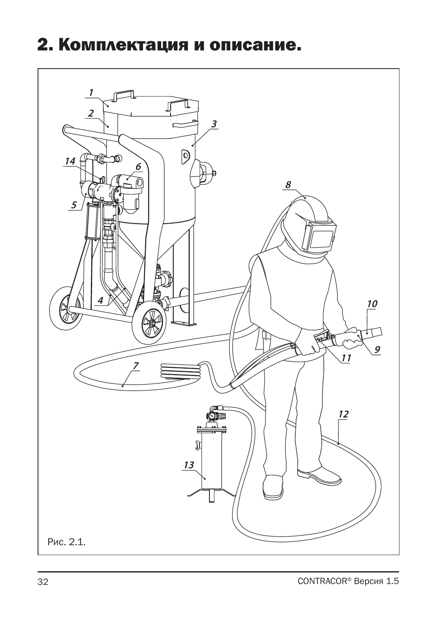## 2. Комплектация и описание.

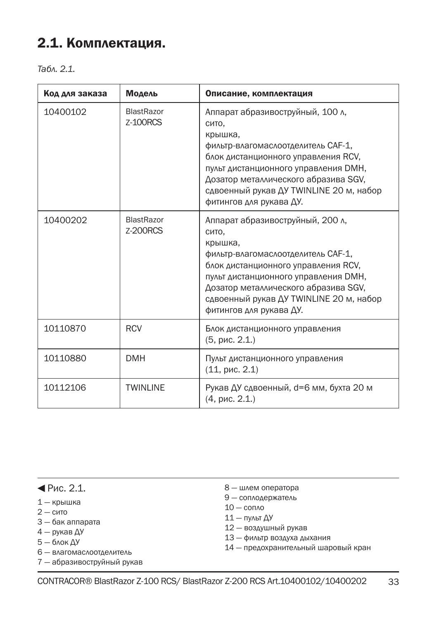### 2.1. Комплектация.

*Табл. 2.1.*

| Код для заказа | Модель                               | Описание, комплектация                                                                                                                                                                                                                                                                  |
|----------------|--------------------------------------|-----------------------------------------------------------------------------------------------------------------------------------------------------------------------------------------------------------------------------------------------------------------------------------------|
| 10400102       | <b>BlastRazor</b><br><b>Z-100RCS</b> | Аппарат абразивоструйный, 100 л,<br>сито.<br>крышка,<br>фильтр-влагомаслоотделитель САF-1,<br>блок дистанционного управления RCV,<br>пульт дистанционного управления DMH,<br>Дозатор металлического абразива SGV,<br>сдвоенный рукав ДУ TWINLINE 20 м, набор<br>фитингов для рукава ДУ. |
| 10400202       | <b>BlastRazor</b><br><b>Z-200RCS</b> | Аппарат абразивоструйный, 200 л.<br>сито.<br>крышка,<br>фильтр-влагомаслоотделитель САF-1,<br>блок дистанционного управления RCV,<br>пульт дистанционного управления DMH,<br>Дозатор металлического абразива SGV,<br>сдвоенный рукав ДУ TWINLINE 20 м, набор<br>фитингов для рукава ДУ. |
| 10110870       | <b>RCV</b>                           | Блок дистанционного управления<br>(5, pnc. 2.1)                                                                                                                                                                                                                                         |
| 10110880       | <b>DMH</b>                           | Пульт дистанционного управления<br>(11, pnc. 2.1)                                                                                                                                                                                                                                       |
| 10112106       | <b>TWINLINE</b>                      | Рукав ДУ сдвоенный, d=6 мм, бухта 20 м<br>(4, pnc. 2.1)                                                                                                                                                                                                                                 |

 $\P$ Рис. 2.1.

- 1 крышка
- $2 c$ ито
- 3 бак аппарата
- 4 рукав ДУ
- 5 блок ДУ
- 6 влагомаслоотделитель
- 7 абразивоструйный рукав
- 8 шлем оператора
- 9 соплодержатель
- 10 сопло
- 11 пульт ДУ
- 12 воздушный рукав
- 13 фильтр воздуха дыхания
- 14 предохранительный шаровый кран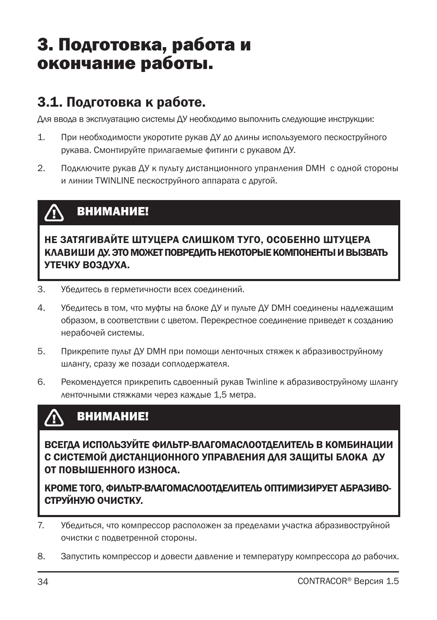## 3. Подготовка, работа и окончание работы.

### 3.1. Подготовка к работе.

Для ввода в эксплуатацию системы ДУ необходимо выполнить следующие инструкции:

- 1. При необходимости укоротите рукав ДУ до длины используемого пескоструйного рукава. Смонтируйте прилагаемые фитинги с рукавом ДУ.
- 2. Подключите рукав ДУ к пульту дистанционного упранления DMH с одной стороны и линии TWINLINE пескоструйного аппарата с другой.

#### ВНИМАНИЕ! /<u>I</u>

НЕ ЗАТЯГИВАЙТЕ ШТУЦЕРА СЛИШКОМ ТУГО, ОСОБЕННО ШТУЦЕРА КЛАВИШИ ДУ. ЭТО МОЖЕТ ПОВРЕДИТЬ НЕКОТОРЫЕ КОМПОНЕНТЫ И ВЫЗВАТЬ УТЕЧКУ ВОЗДУХА.

- 3. Убедитесь в герметичности всех соединений.
- 4. Убедитесь в том, что муфты на блоке ДУ и пульте ДУ DMH соединены надлежащим образом, в соответствии с цветом. Перекрестное соединение приведет к созданию нерабочей системы.
- 5. Прикрепите пульт ДУ DMH при помощи ленточных стяжек к абразивоструйному шлангу, сразу же позади соплодержателя.
- 6. Рекомендуется прикрепить сдвоенный рукав Twinline к абразивоструйному шлангу ленточными стяжками через каждые 1,5 метра.

#### ВНИМАНИЕ! **/T**

ВСЕГДА ИСПОЛЬЗУЙТЕ ФИЛЬТР-ВЛАГОМАСЛООТДЕЛИТЕЛЬ В КОМБИНАЦИИ С СИСТЕМОЙ ДИСТАНЦИОННОГО УПРАВЛЕНИЯ ДЛЯ ЗАЩИТЫ БЛОКА ДУ ОТ ПОВЫШЕННОГО ИЗНОСА.

КРОМЕ ТОГО, ФИЛЬТР-ВЛАГОМАСЛООТДЕЛИТЕЛЬ ОПТИМИЗИРУЕТ АБРАЗИВО-СТРУЙНУЮ ОЧИСТКУ.

- 7. Убедиться, что компрессор расположен за пределами участка абразивоструйной очистки с подветренной стороны.
- 8. Запустить компрессор и довести давление и температуру компрессора до рабочих.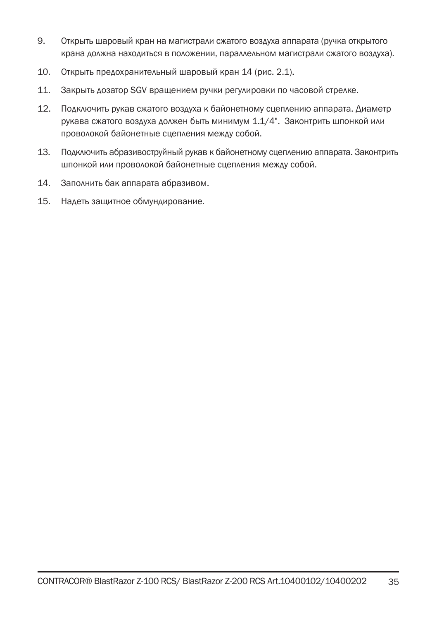- 9. Открыть шаровый кран на магистрали сжатого воздуха аппарата (ручка открытого крана должна находиться в положении, параллельном магистрали сжатого воздуха).
- 10. Открыть предохранительный шаровый кран 14 (рис. 2.1).
- 11. Закрыть дозатор SGV вращением ручки регулировки по часовой стрелке.
- 12. Подключить рукав сжатого воздуха к байонетному сцеплению аппарата. Диаметр рукава сжатого воздуха должен быть минимум 1.1/4". Законтрить шпонкой или проволокой байонетные сцепления между собой.
- 13. Подключить абразивоструйный рукав к байонетному сцеплению аппарата. Законтрить шпонкой или проволокой байонетные сцепления между собой.
- 14. Заполнить бак аппарата абразивом.
- 15. Надеть защитное обмундирование.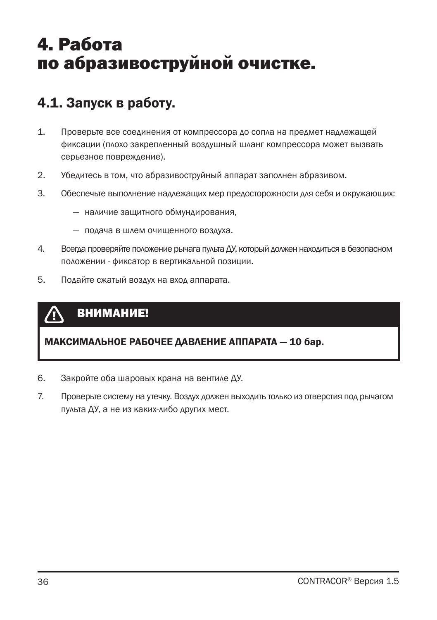## 4. Работа по абразивоструйной очистке.

## 4.1. Запуск в работу.

- 1. Проверьте все соединения от компрессора до сопла на предмет надлежащей фиксации (плохо закрепленный воздушный шланг компрессора может вызвать серьезное повреждение).
- 2. Убедитесь в том, что абразивоструйный аппарат заполнен абразивом.
- 3. Обеспечьте выполнение надлежащих мер предосторожности для себя и окружающих:
	- наличие защитного обмундирования,
	- подача в шлем очищенного воздуха.
- 4. Всегда проверяйте положение рычага пульта ДУ, который должен находиться в безопасном положении - фиксатор в вертикальной позиции.
- 5. Подайте сжатый воздух на вход аппарата.

#### ВНИМАНИЕ! ∕₫

#### МАКСИМАЛЬНОЕ РАБОЧЕЕ ДАВЛЕНИЕ АППАРАТА — 10 бар.

- 6. Закройте оба шаровых крана на вентиле ДУ.
- 7. Проверьте систему на утечку. Воздух должен выходить только из отверстия под рычагом пульта ДУ, а не из каких-либо других мест.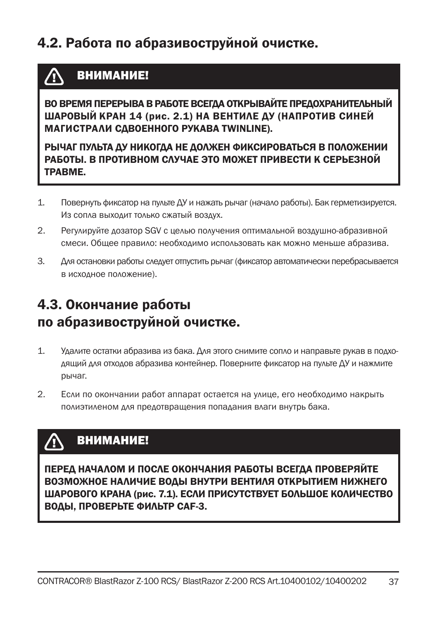## 4.2. Работа по абразивоструйной очистке.

## ВНИМАНИЕ!

ВО ВРЕМЯ ПЕРЕРЫВА В РАБОТЕ ВСЕГДА ОТКРЫВАЙТЕ ПРЕДОХРАНИТЕЛЬНЫЙ ШАРОВЫЙ КРАН 14 (рис. 2.1) НА ВЕНТИЛЕ ДУ (НАПРОТИВ СИНЕЙ МАГИСТРАЛИ СДВОЕННОГО РУКАВА TWINLINE).

РЫЧАГ ПУЛЬТА ДУ НИКОГДА НЕ ДОЛЖЕН ФИКСИРОВАТЬСЯ В ПОЛОЖЕНИИ РАБОТЫ. В ПРОТИВНОМ СЛУЧАЕ ЭТО МОЖЕТ ПРИВЕСТИ К СЕРЬЕЗНОЙ ТРАВМЕ.

- 1. Повернуть фиксатор на пульте ДУ и нажать рычаг (начало работы). Бак герметизируется. Из сопла выходит только сжатый воздух.
- 2. Регулируйте дозатор SGV с целью получения оптимальной воздушно-абразивной смеси. Общее правило: необходимо использовать как можно меньше абразива.
- 3. Для остановки работы следует отпустить рычаг (фиксатор автоматически перебрасывается в исходное положение).

## 4.3. Окончание работы по абразивоструйной очистке.

- 1. Удалите остатки абразива из бака. Для этого снимите сопло и направьте рукав в подходящий для отходов абразива контейнер. Поверните фиксатор на пульте ДУ и нажмите рычаг.
- 2. Если по окончании работ аппарат остается на улице, его необходимо накрыть полиэтиленом для предотвращения попадания влаги внутрь бака.

#### ВНИМАНИЕ!  $\Lambda$

ПЕРЕД НАЧАЛОМ И ПОСЛЕ ОКОНЧАНИЯ РАБОТЫ ВСЕГДА ПРОВЕРЯЙТЕ ВОЗМОЖНОЕ НАЛИЧИЕ ВОДЫ ВНУТРИ ВЕНТИЛЯ ОТКРЫТИЕМ НИЖНЕГО ШАРОВОГО КРАНА (рис. 7.1). ЕСЛИ ПРИСУТСТВУЕТ БОЛЬШОЕ КОЛИЧЕСТВО ВОДЫ, ПРОВЕРЬТЕ ФИЛЬТР CAF-3.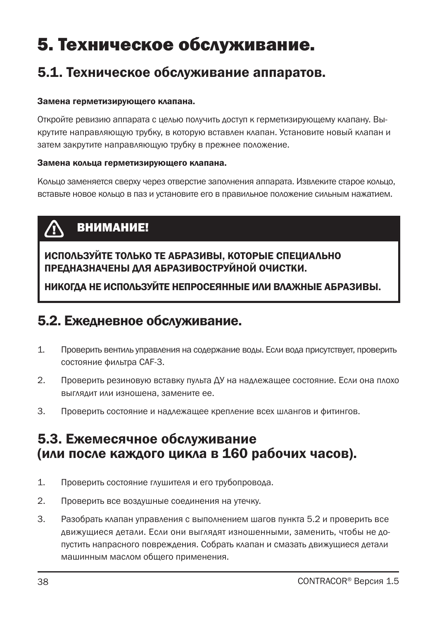# 5. Техническое обслуживание.

### 5.1. Техническое обслуживание аппаратов.

#### Замена герметизирующего клапана.

Откройте ревизию аппарата с целью получить доступ к герметизирующему клапану. Выкрутите направляющую трубку, в которую вставлен клапан. Установите новый клапан и затем закрутите направляющую трубку в прежнее положение.

#### Замена кольца герметизирующего клапана.

Кольцо заменяется сверху через отверстие заполнения аппарата. Извлеките старое кольцо, вставьте новое кольцо в паз и установите его в правильное положение сильным нажатием.

#### ВНИМАНИЕ! /N

ИСПОЛЬЗУЙТЕ ТОЛЬКО ТЕ АБРАЗИВЫ, КОТОРЫЕ СПЕЦИАЛЬНО ПРЕДНАЗНАЧЕНЫ ДЛЯ АБРАЗИВОСТРУЙНОЙ ОЧИСТКИ.

НИКОГДА НЕ ИСПОЛЬЗУЙТЕ НЕПРОСЕЯННЫЕ ИЛИ ВЛАЖНЫЕ АБРАЗИВЫ.

### 5.2. Ежедневное обслуживание.

- 1. Проверить вентиль управления на содержание воды. Если вода присутствует, проверить состояние фильтра CAF-3.
- 2. Проверить резиновую вставку пульта ДУ на надлежащее состояние. Если она плохо выглядит или изношена, замените ее.
- 3. Проверить состояние и надлежащее крепление всех шлангов и фитингов.

### 5.3. Ежемесячное обслуживание (или после каждого цикла в 160 рабочих часов).

- 1. Проверить состояние глушителя и его трубопровода.
- 2. Проверить все воздушные соединения на утечку.
- 3. Разобрать клапан управления с выполнением шагов пункта 5.2 и проверить все движущиеся детали. Если они выглядят изношенными, заменить, чтобы не допустить напрасного повреждения. Собрать клапан и смазать движущиеся детали машинным маслом общего применения.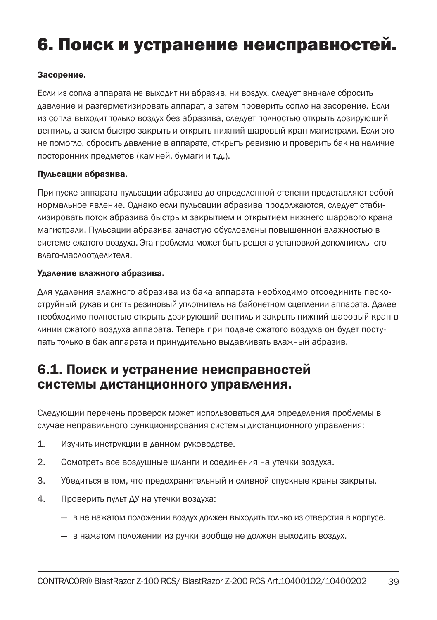# 6. Поиск и устранение неисправностей.

#### Засорение.

Если из сопла аппарата не выходит ни абразив, ни воздух, следует вначале сбросить давление и разгерметизировать аппарат, а затем проверить сопло на засорение. Если из сопла выходит только воздух без абразива, следует полностью открыть дозирующий вентиль, а затем быстро закрыть и открыть нижний шаровый кран магистрали. Если это не помогло, сбросить давление в аппарате, открыть ревизию и проверить бак на наличие посторонних предметов (камней, бумаги и т.д.).

#### Пульсации абразива.

При пуске аппарата пульсации абразива до определенной степени представляют собой нормальное явление. Однако если пульсации абразива продолжаются, следует стабилизировать поток абразива быстрым закрытием и открытием нижнего шарового крана магистрали. Пульсации абразива зачастую обусловлены повышенной влажностью в системе сжатого воздуха. Эта проблема может быть решена установкой дополнительного влаго-маслоотделителя.

#### Удаление влажного абразива.

Для удаления влажного абразива из бака аппарата необходимо отсоединить пескоструйный рукав и снять резиновый уплотнитель на байонетном сцеплении аппарата. Далее необходимо полностью открыть дозирующий вентиль и закрыть нижний шаровый кран в линии сжатого воздуха аппарата. Теперь при подаче сжатого воздуха он будет поступать только в бак аппарата и принудительно выдавливать влажный абразив.

### 6.1. Поиск и устранение неисправностей системы дистанционного управления.

Следующий перечень проверок может использоваться для определения проблемы в случае неправильного функционирования системы дистанционного управления:

- 1. Изучить инструкции в данном руководстве.
- 2. Осмотреть все воздушные шланги и соединения на утечки воздуха.
- 3. Убедиться в том, что предохранительный и сливной спускные краны закрыты.
- 4. Проверить пульт ДУ на утечки воздуха:
	- в не нажатом положении воздух должен выходить только из отверстия в корпусе.
	- в нажатом положении из ручки вообще не должен выходить воздух.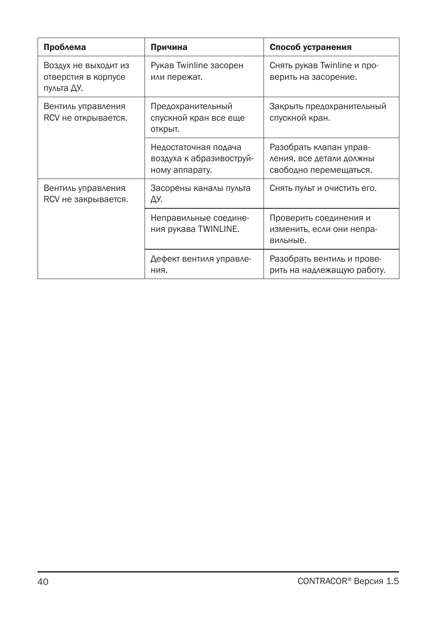| Проблема                                                  | Причина                                                            | Способ устранения                                                             |
|-----------------------------------------------------------|--------------------------------------------------------------------|-------------------------------------------------------------------------------|
| Воздух не выходит из<br>отверстия в корпусе<br>пульта ДУ. | Рукав Twinline засорен<br>или пережат.                             | Снять рукав Twinline и про-<br>верить на засорение.                           |
| Вентиль управления<br>RCV не открывается.                 | Предохранительный<br>спускной кран все еще<br>открыт.              | Закрыть предохранительный<br>спускной кран.                                   |
|                                                           | Недостаточная подача<br>воздуха к абразивоструй-<br>ному аппарату. | Разобрать клапан управ-<br>ления, все детали должны<br>свободно перемещаться. |
| Вентиль управления<br>RCV не закрывается.                 | Засорены каналы пульта<br>ДУ.                                      | Снять пульт и очистить его.                                                   |
|                                                           | Неправильные соедине-<br>ния рукава TWINLINE.                      | Проверить соединения и<br>изменить, если они непра-<br>вильные.               |
|                                                           | Дефект вентиля управле-<br>ния.                                    | Разобрать вентиль и прове-<br>рить на надлежащую работу.                      |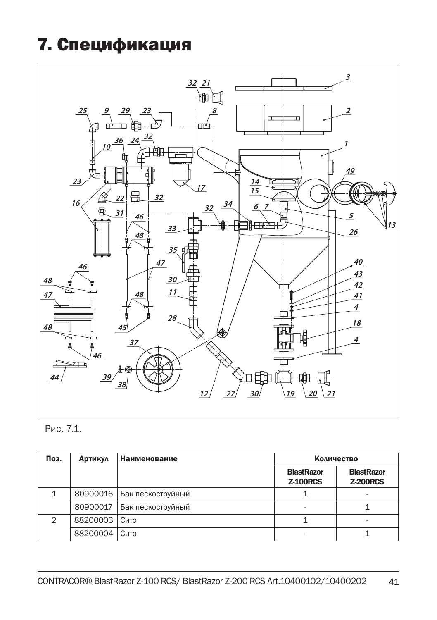# 7. Спецификация



### Рис. 7.1.

| Поз.          | <b>Артикул</b> | <b>Наименование</b> | <b>Количество</b>                    |                                      |
|---------------|----------------|---------------------|--------------------------------------|--------------------------------------|
|               |                |                     | <b>BlastRazor</b><br><b>Z-100RCS</b> | <b>BlastRazor</b><br><b>Z-200RCS</b> |
| 1             | 80900016       | Бак пескоструйный   |                                      | $\overline{\phantom{0}}$             |
|               | 80900017       | Бак пескоструйный   | ۰                                    |                                      |
| $\mathcal{P}$ | 88200003       | Сито                |                                      |                                      |
|               | 88200004       | Сито                |                                      |                                      |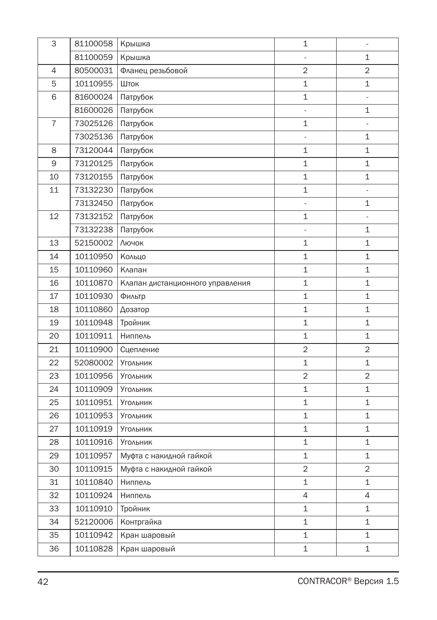| 3              | 81100058 | Крышка                           | 1                        | $\frac{1}{2}$            |
|----------------|----------|----------------------------------|--------------------------|--------------------------|
|                | 81100059 | Крышка                           |                          | $\mathbf{1}$             |
| 4              | 80500031 | Фланец резьбовой                 | 2                        | 2                        |
| 5              | 10110955 | Шток                             | $\mathbf 1$              | 1                        |
| 6              | 81600024 | Патрубок                         | $\mathbf{1}$             | $\frac{1}{2}$            |
|                | 81600026 | Патрубок                         | $\overline{\phantom{a}}$ | 1                        |
| $\overline{7}$ | 73025126 | Патрубок                         | $\mathbf 1$              | $\blacksquare$           |
|                | 73025136 | Патрубок                         | Ξ                        | $\mathbf 1$              |
| 8              | 73120044 | Патрубок                         | 1                        | 1                        |
| 9              | 73120125 | Патрубок                         | $\mathbf 1$              | 1                        |
| 10             | 73120155 | Патрубок                         | $\mathbf{1}$             | $\mathbf 1$              |
| 11             | 73132230 | Патрубок                         | 1                        | $\overline{\phantom{a}}$ |
|                | 73132450 | Патрубок                         | ÷,                       | $\mathbf{1}$             |
| 12             | 73132152 | Патрубок                         | 1                        | $\overline{\phantom{a}}$ |
|                | 73132238 | Патрубок                         |                          | 1                        |
| 13             | 52150002 | Лючок                            | $\mathbf{1}$             | 1                        |
| 14             | 10110950 | Кольцо                           | 1                        | 1                        |
| 15             | 10110960 | Клапан                           | 1                        | 1                        |
| 16             | 10110870 | Клапан дистанционного управления | 1                        | $\mathbf 1$              |
| 17             | 10110930 | Фильтр                           | 1                        | 1                        |
| 18             | 10110860 | Дозатор                          | $\mathbf 1$              | 1                        |
| 19             | 10110948 | Тройник                          | $\mathbf 1$              | 1                        |
| 20             | 10110911 | Ниппель                          | 1                        | $\mathbf 1$              |
| 21             | 10110900 | Сцепление                        | $\overline{2}$           | $\overline{2}$           |
| 22             | 52080002 | Угольник                         | 1                        | 1                        |
| 23             | 10110956 | <b>Угольник</b>                  | $\overline{2}$           | 2                        |
| 24             | 10110909 | Угольник                         | 1                        | $\mathbf 1$              |
| 25             | 10110951 | Угольник                         | 1                        | $\mathbf 1$              |
| 26             | 10110953 | Угольник                         | 1                        | $\mathbf 1$              |
| 27             | 10110919 | <b>Угольник</b>                  | 1                        | $\mathbf 1$              |
| 28             | 10110916 | Угольник                         | 1                        | 1                        |
| 29             | 10110957 | Муфта с накидной гайкой          | $\mathbf{1}$             | 1                        |
| 30             | 10110915 | Муфта с накидной гайкой          | $\overline{2}$           | $\overline{2}$           |
| 31             | 10110840 | Ниппель                          | 1                        | $\mathbf{1}$             |
| 32             | 10110924 | Ниппель                          | 4                        | 4                        |
| 33             | 10110910 | Тройник                          | 1                        | 1                        |
| 34             | 52120006 | Контргайка                       | $\mathbf 1$              | 1                        |
| 35             | 10110942 | Кран шаровый                     | 1                        | 1                        |
| 36             | 10110828 | Кран шаровый                     | 1                        | $\mathbf 1$              |